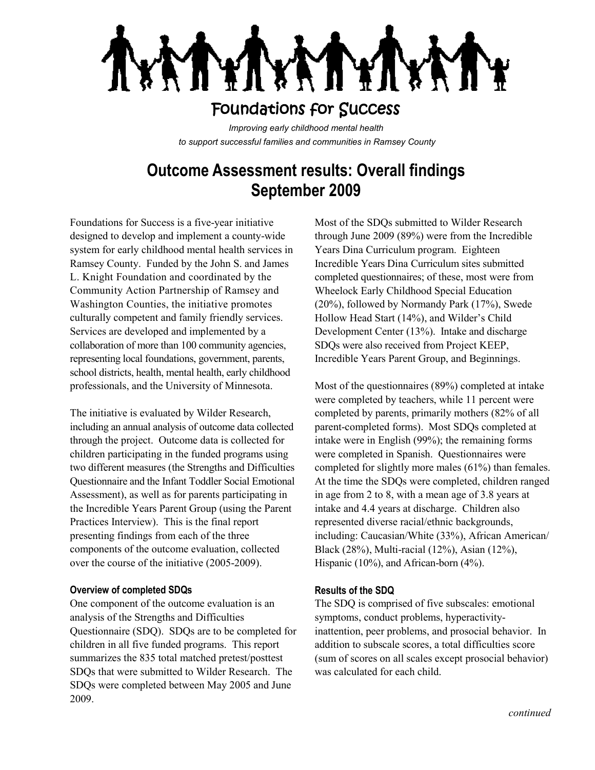## Foundations for Success

*Improving early childhood mental health to support successful families and communities in Ramsey County*

# **Outcome Assessment results: Overall findings September 2009**

Foundations for Success is a five-year initiative designed to develop and implement a county-wide system for early childhood mental health services in Ramsey County. Funded by the John S. and James L. Knight Foundation and coordinated by the Community Action Partnership of Ramsey and Washington Counties, the initiative promotes culturally competent and family friendly services. Services are developed and implemented by a collaboration of more than 100 community agencies, representing local foundations, government, parents, school districts, health, mental health, early childhood professionals, and the University of Minnesota.

The initiative is evaluated by Wilder Research, including an annual analysis of outcome data collected through the project. Outcome data is collected for children participating in the funded programs using two different measures (the Strengths and Difficulties Questionnaire and the Infant Toddler Social Emotional Assessment), as well as for parents participating in the Incredible Years Parent Group (using the Parent Practices Interview). This is the final report presenting findings from each of the three components of the outcome evaluation, collected over the course of the initiative (2005-2009).

#### **Overview of completed SDQs**

One component of the outcome evaluation is an analysis of the Strengths and Difficulties Questionnaire (SDQ). SDQs are to be completed for children in all five funded programs. This report summarizes the 835 total matched pretest/posttest SDQs that were submitted to Wilder Research. The SDQs were completed between May 2005 and June 2009.

Most of the SDQs submitted to Wilder Research through June 2009 (89%) were from the Incredible Years Dina Curriculum program. Eighteen Incredible Years Dina Curriculum sites submitted completed questionnaires; of these, most were from Wheelock Early Childhood Special Education (20%), followed by Normandy Park (17%), Swede Hollow Head Start (14%), and Wilder's Child Development Center (13%). Intake and discharge SDQs were also received from Project KEEP, Incredible Years Parent Group, and Beginnings.

Most of the questionnaires (89%) completed at intake were completed by teachers, while 11 percent were completed by parents, primarily mothers (82% of all parent-completed forms). Most SDQs completed at intake were in English (99%); the remaining forms were completed in Spanish. Questionnaires were completed for slightly more males (61%) than females. At the time the SDQs were completed, children ranged in age from 2 to 8, with a mean age of 3.8 years at intake and 4.4 years at discharge. Children also represented diverse racial/ethnic backgrounds, including: Caucasian/White (33%), African American/ Black (28%), Multi-racial (12%), Asian (12%), Hispanic (10%), and African-born (4%).

### **Results of the SDQ**

The SDQ is comprised of five subscales: emotional symptoms, conduct problems, hyperactivityinattention, peer problems, and prosocial behavior. In addition to subscale scores, a total difficulties score (sum of scores on all scales except prosocial behavior) was calculated for each child.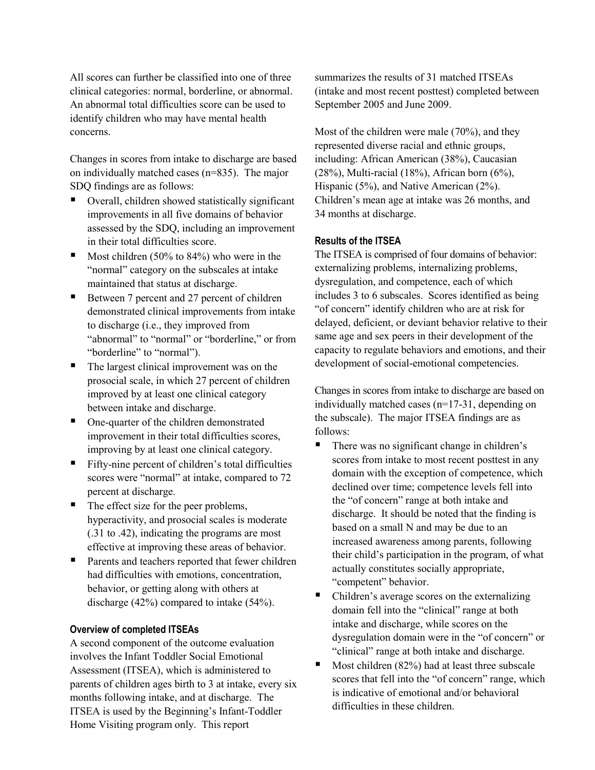All scores can further be classified into one of three clinical categories: normal, borderline, or abnormal. An abnormal total difficulties score can be used to identify children who may have mental health concerns.

Changes in scores from intake to discharge are based on individually matched cases (n=835). The major SDQ findings are as follows:

- Overall, children showed statistically significant improvements in all five domains of behavior assessed by the SDQ, including an improvement in their total difficulties score.
- Most children (50% to 84%) who were in the "normal" category on the subscales at intake maintained that status at discharge.
- Between 7 percent and 27 percent of children demonstrated clinical improvements from intake to discharge (i.e., they improved from "abnormal" to "normal" or "borderline," or from "borderline" to "normal").
- The largest clinical improvement was on the prosocial scale, in which 27 percent of children improved by at least one clinical category between intake and discharge.
- One-quarter of the children demonstrated improvement in their total difficulties scores, improving by at least one clinical category.
- Fifty-nine percent of children's total difficulties scores were "normal" at intake, compared to 72 percent at discharge.
- $\blacksquare$  The effect size for the peer problems, hyperactivity, and prosocial scales is moderate (.31 to .42), indicating the programs are most effective at improving these areas of behavior.
- Parents and teachers reported that fewer children had difficulties with emotions, concentration, behavior, or getting along with others at discharge (42%) compared to intake (54%).

### **Overview of completed ITSEAs**

A second component of the outcome evaluation involves the Infant Toddler Social Emotional Assessment (ITSEA), which is administered to parents of children ages birth to 3 at intake, every six months following intake, and at discharge. The ITSEA is used by the Beginning's Infant-Toddler Home Visiting program only. This report

summarizes the results of 31 matched ITSEAs (intake and most recent posttest) completed between September 2005 and June 2009.

Most of the children were male (70%), and they represented diverse racial and ethnic groups, including: African American (38%), Caucasian (28%), Multi-racial (18%), African born (6%), Hispanic (5%), and Native American (2%). Children's mean age at intake was 26 months, and 34 months at discharge.

#### **Results of the ITSEA**

The ITSEA is comprised of four domains of behavior: externalizing problems, internalizing problems, dysregulation, and competence, each of which includes 3 to 6 subscales. Scores identified as being "of concern" identify children who are at risk for delayed, deficient, or deviant behavior relative to their same age and sex peers in their development of the capacity to regulate behaviors and emotions, and their development of social-emotional competencies.

Changes in scores from intake to discharge are based on individually matched cases (n=17-31, depending on the subscale). The major ITSEA findings are as follows:

- There was no significant change in children's scores from intake to most recent posttest in any domain with the exception of competence, which declined over time; competence levels fell into the "of concern" range at both intake and discharge. It should be noted that the finding is based on a small N and may be due to an increased awareness among parents, following their child's participation in the program, of what actually constitutes socially appropriate, "competent" behavior.
- Children's average scores on the externalizing domain fell into the "clinical" range at both intake and discharge, while scores on the dysregulation domain were in the "of concern" or "clinical" range at both intake and discharge.
- Most children  $(82%)$  had at least three subscale scores that fell into the "of concern" range, which is indicative of emotional and/or behavioral difficulties in these children.